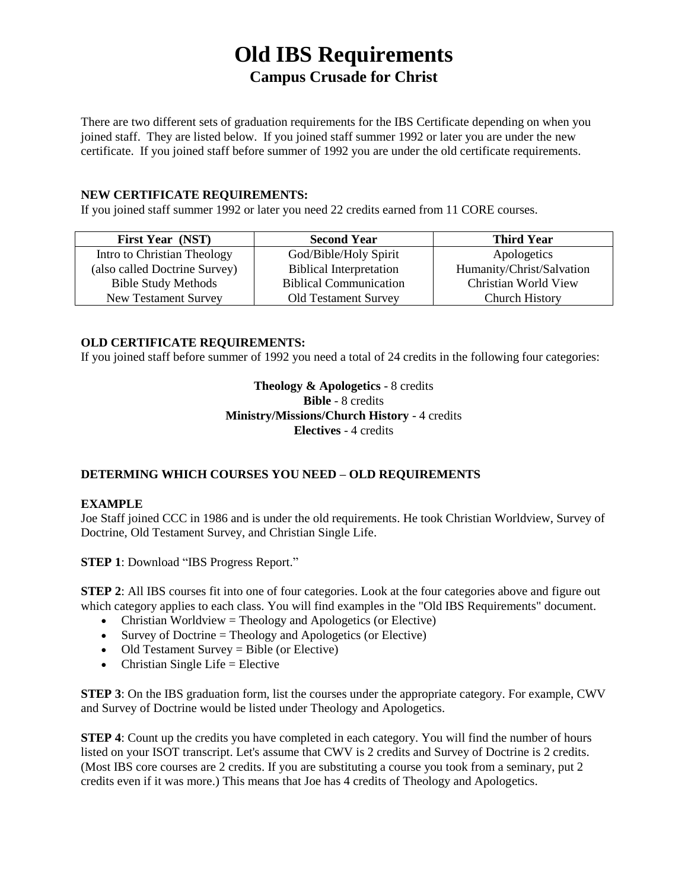# **Old IBS Requirements Campus Crusade for Christ**

There are two different sets of graduation requirements for the IBS Certificate depending on when you joined staff. They are listed below. If you joined staff summer 1992 or later you are under the new certificate. If you joined staff before summer of 1992 you are under the old certificate requirements.

#### **NEW CERTIFICATE REQUIREMENTS:**

If you joined staff summer 1992 or later you need 22 credits earned from 11 CORE courses.

| <b>First Year (NST)</b>       | <b>Second Year</b>             | <b>Third Year</b>         |
|-------------------------------|--------------------------------|---------------------------|
| Intro to Christian Theology   | God/Bible/Holy Spirit          | Apologetics               |
| (also called Doctrine Survey) | <b>Biblical Interpretation</b> | Humanity/Christ/Salvation |
| <b>Bible Study Methods</b>    | <b>Biblical Communication</b>  | Christian World View      |
| New Testament Survey          | <b>Old Testament Survey</b>    | <b>Church History</b>     |

#### **OLD CERTIFICATE REQUIREMENTS:**

If you joined staff before summer of 1992 you need a total of 24 credits in the following four categories:

## **Theology & Apologetics** - 8 credits **Bible** - 8 credits **Ministry/Missions/Church History** - 4 credits **Electives** - 4 credits

## **DETERMING WHICH COURSES YOU NEED – OLD REQUIREMENTS**

#### **EXAMPLE**

Joe Staff joined CCC in 1986 and is under the old requirements. He took Christian Worldview, Survey of Doctrine, Old Testament Survey, and Christian Single Life.

**STEP 1**: Download "IBS Progress Report."

**STEP 2:** All IBS courses fit into one of four categories. Look at the four categories above and figure out which category applies to each class. You will find examples in the "Old IBS Requirements" document.

- Christian Worldview = Theology and Apologetics (or Elective)
- $\bullet$  Survey of Doctrine = Theology and Apologetics (or Elective)
- $\bullet$  Old Testament Survey = Bible (or Elective)
- $\bullet$  Christian Single Life = Elective

**STEP 3**: On the IBS graduation form, list the courses under the appropriate category. For example, CWV and Survey of Doctrine would be listed under Theology and Apologetics.

**STEP 4:** Count up the credits you have completed in each category. You will find the number of hours listed on your ISOT transcript. Let's assume that CWV is 2 credits and Survey of Doctrine is 2 credits. (Most IBS core courses are 2 credits. If you are substituting a course you took from a seminary, put 2 credits even if it was more.) This means that Joe has 4 credits of Theology and Apologetics.